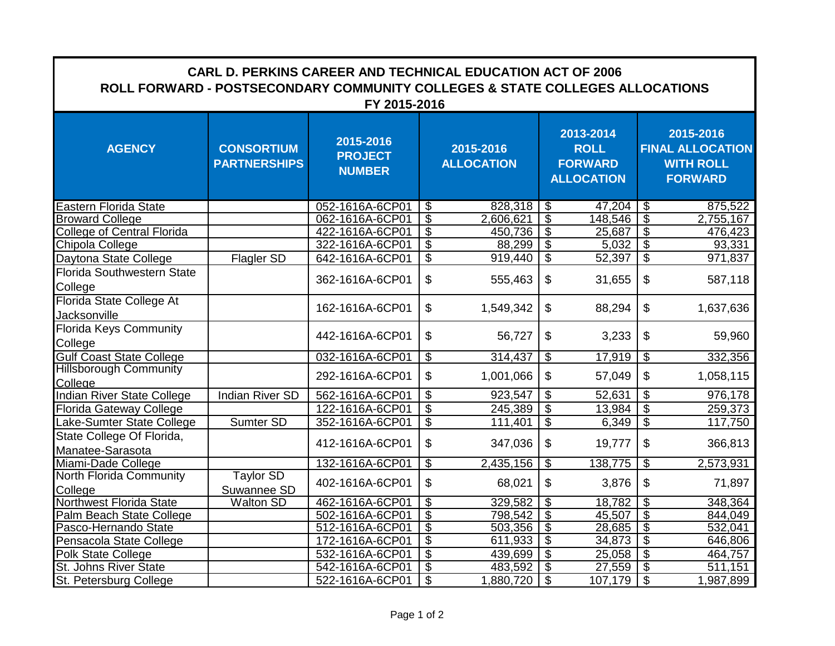| <b>CARL D. PERKINS CAREER AND TECHNICAL EDUCATION ACT OF 2006</b><br>ROLL FORWARD - POSTSECONDARY COMMUNITY COLLEGES & STATE COLLEGES ALLOCATIONS<br>FY 2015-2016 |                                          |                                              |                          |                                |                          |                                                                 |                                                                            |                       |  |  |  |
|-------------------------------------------------------------------------------------------------------------------------------------------------------------------|------------------------------------------|----------------------------------------------|--------------------------|--------------------------------|--------------------------|-----------------------------------------------------------------|----------------------------------------------------------------------------|-----------------------|--|--|--|
| <b>AGENCY</b>                                                                                                                                                     | <b>CONSORTIUM</b><br><b>PARTNERSHIPS</b> | 2015-2016<br><b>PROJECT</b><br><b>NUMBER</b> |                          | 2015-2016<br><b>ALLOCATION</b> |                          | 2013-2014<br><b>ROLL</b><br><b>FORWARD</b><br><b>ALLOCATION</b> | 2015-2016<br><b>FINAL ALLOCATION</b><br><b>WITH ROLL</b><br><b>FORWARD</b> |                       |  |  |  |
| Eastern Florida State                                                                                                                                             |                                          | 052-1616A-6CP01                              | $\overline{\mathcal{S}}$ |                                |                          | 47,204                                                          | $\overline{\mathcal{S}}$                                                   | 875,522               |  |  |  |
| <b>Broward College</b>                                                                                                                                            |                                          | 062-1616A-6CP01                              | $\overline{\$}$          | 2,606,621                      | $\overline{\mathcal{S}}$ | 148,546                                                         | S                                                                          | 2,755,167             |  |  |  |
| <b>College of Central Florida</b>                                                                                                                                 |                                          | 422-1616A-6CP01                              | $\overline{\$}$          | 450,736                        | T\$                      | 25,687                                                          | $\overline{\mathcal{S}}$                                                   | 476,423               |  |  |  |
| Chipola College                                                                                                                                                   |                                          | 322-1616A-6CP01                              | $\overline{\mathcal{G}}$ | 88,299                         | \$                       | 5,032                                                           | $\overline{\mathcal{S}}$                                                   | 93,331                |  |  |  |
| Daytona State College                                                                                                                                             | <b>Flagler SD</b>                        | 642-1616A-6CP01                              | $\overline{\$}$          | 919,440                        | \$                       | 52,397                                                          | $\overline{\mathcal{S}}$                                                   | 971,837               |  |  |  |
| Florida Southwestern State<br>College                                                                                                                             |                                          | 362-1616A-6CP01                              | \$                       | 555,463                        | \$                       | 31,655                                                          | \$                                                                         | 587,118               |  |  |  |
| Florida State College At<br>Jacksonville                                                                                                                          |                                          | 162-1616A-6CP01                              | \$                       | 1,549,342                      | $\mathfrak{S}$           | 88,294                                                          | \$                                                                         | 1,637,636             |  |  |  |
| <b>Florida Keys Community</b><br>College                                                                                                                          |                                          | 442-1616A-6CP01                              | \$                       | 56,727                         | \$                       | 3,233                                                           | \$                                                                         | 59,960                |  |  |  |
| <b>Gulf Coast State College</b>                                                                                                                                   |                                          | 032-1616A-6CP01                              | $\overline{\mathcal{S}}$ | 314,437                        | \$                       | 17,919                                                          | \$                                                                         | 332,356               |  |  |  |
| <b>Hillsborough Community</b><br>College<br>Indian River State College                                                                                            |                                          | 292-1616A-6CP01                              | \$                       | 1,001,066                      | \$                       | 57,049                                                          | $\mathfrak{L}$                                                             | 1,058,115             |  |  |  |
|                                                                                                                                                                   | <b>Indian River SD</b>                   | 562-1616A-6CP01                              | $\overline{\mathcal{S}}$ | 923,547                        | $\overline{\mathcal{S}}$ | 52,631                                                          | $\overline{\mathcal{S}}$                                                   | 976,178               |  |  |  |
| Florida Gateway College                                                                                                                                           |                                          | 122-1616A-6CP01                              | $\overline{\$}$          | 245,389                        | $\overline{\mathbf{e}}$  | 13,984                                                          | $\overline{\mathcal{S}}$                                                   | 259,373               |  |  |  |
| Lake-Sumter State College                                                                                                                                         | Sumter SD                                | 352-1616A-6CP01                              | $\overline{\$}$          | 111,401                        | $\overline{\mathcal{S}}$ | 6,349                                                           | $\overline{\$}$                                                            | 117,750               |  |  |  |
| State College Of Florida,<br>Manatee-Sarasota                                                                                                                     |                                          | 412-1616A-6CP01                              | \$                       | 347,036                        | \$                       | 19,777                                                          | \$                                                                         | 366,813               |  |  |  |
| Miami-Dade College                                                                                                                                                |                                          | 132-1616A-6CP01                              | $\overline{\mathcal{G}}$ | 2,435,156                      | \$                       | 138,775                                                         | \$                                                                         | 2,573,931             |  |  |  |
| <b>North Florida Community</b><br>College                                                                                                                         | <b>Taylor SD</b><br>Suwannee SD          | 402-1616A-6CP01                              | \$                       | 68,021                         | \$                       | 3,876                                                           | \$                                                                         | 71,897                |  |  |  |
| <b>Northwest Florida State</b>                                                                                                                                    | <b>Walton SD</b>                         | 462-1616A-6CP01                              | $\overline{\mathbb{S}}$  | 329,582                        | $\overline{\mathcal{S}}$ | 18,782                                                          | $\overline{\mathbb{S}}$                                                    | 348,364               |  |  |  |
| Palm Beach State College                                                                                                                                          |                                          | 502-1616A-6CP01                              | \$                       | 798,542                        | T\$                      | 45,507                                                          | $\overline{\mathbb{S}}$                                                    | 844,049               |  |  |  |
| Pasco-Hernando State                                                                                                                                              |                                          | 512-1616A-6CP01                              | $\overline{\$}$          | 503,356                        | မ                        | 28,685                                                          | $\overline{\mathcal{S}}$                                                   | 532,041               |  |  |  |
| Pensacola State College                                                                                                                                           |                                          | 172-1616A-6CP01                              | $\overline{\mathcal{G}}$ | 611,933                        | \$                       | 34,873                                                          | \$                                                                         | 646,806               |  |  |  |
| <b>Polk State College</b>                                                                                                                                         |                                          | 532-1616A-6CP01                              | $\overline{\$}$          | 439,699                        | \$                       | 25,058                                                          | $\overline{\$}$                                                            | 464,757               |  |  |  |
| St. Johns River State<br>St. Petersburg College                                                                                                                   |                                          | 542-1616A-6CP01                              | $\overline{\$}$          | 483,592                        | \$                       | 27,559                                                          | $\overline{\mathcal{G}}$                                                   | $\overline{51}$ 1,151 |  |  |  |
|                                                                                                                                                                   |                                          | 522-1616A-6CP01                              | $\overline{\$}$          | 1,880,720                      | T\$                      | 107,179                                                         | $\overline{\mathcal{S}}$                                                   | 1,987,899             |  |  |  |